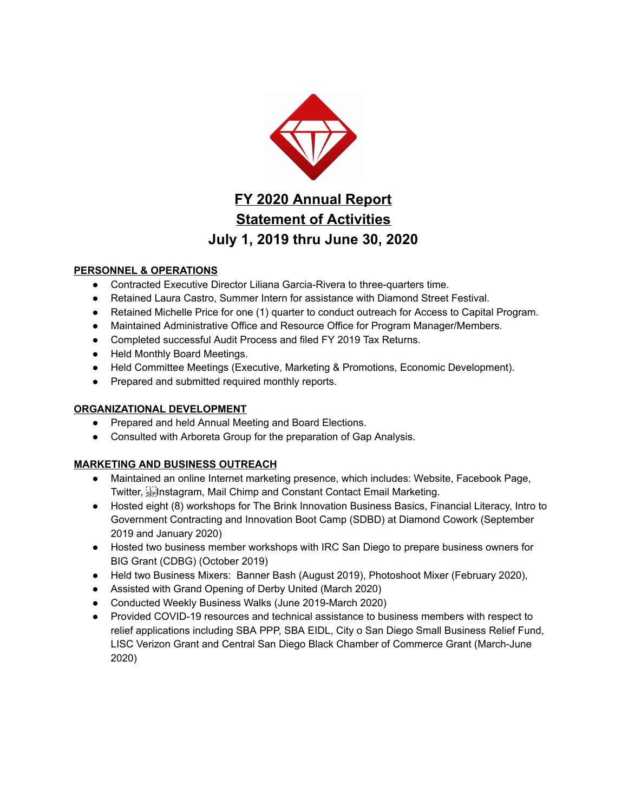

# **FY 2020 Annual Report Statement of Activities July 1, 2019 thru June 30, 2020**

## **PERSONNEL & OPERATIONS**

- Contracted Executive Director Liliana Garcia-Rivera to three-quarters time.
- Retained Laura Castro, Summer Intern for assistance with Diamond Street Festival.
- Retained Michelle Price for one (1) quarter to conduct outreach for Access to Capital Program.
- Maintained Administrative Office and Resource Office for Program Manager/Members.
- Completed successful Audit Process and filed FY 2019 Tax Returns.
- Held Monthly Board Meetings.
- Held Committee Meetings (Executive, Marketing & Promotions, Economic Development).
- Prepared and submitted required monthly reports.

## **ORGANIZATIONAL DEVELOPMENT**

- Prepared and held Annual Meeting and Board Elections.
- Consulted with Arboreta Group for the preparation of Gap Analysis.

## **MARKETING AND BUSINESS OUTREACH**

- Maintained an online Internet marketing presence, which includes: Website, Facebook Page, Twitter,  $\mathbb{E}$ , Instagram, Mail Chimp and Constant Contact Email Marketing.
- Hosted eight (8) workshops for The Brink Innovation Business Basics, Financial Literacy, Intro to Government Contracting and Innovation Boot Camp (SDBD) at Diamond Cowork (September 2019 and January 2020)
- Hosted two business member workshops with IRC San Diego to prepare business owners for BIG Grant (CDBG) (October 2019)
- Held two Business Mixers: Banner Bash (August 2019), Photoshoot Mixer (February 2020),
- Assisted with Grand Opening of Derby United (March 2020)
- Conducted Weekly Business Walks (June 2019-March 2020)
- Provided COVID-19 resources and technical assistance to business members with respect to relief applications including SBA PPP, SBA EIDL, City o San Diego Small Business Relief Fund, LISC Verizon Grant and Central San Diego Black Chamber of Commerce Grant (March-June 2020)